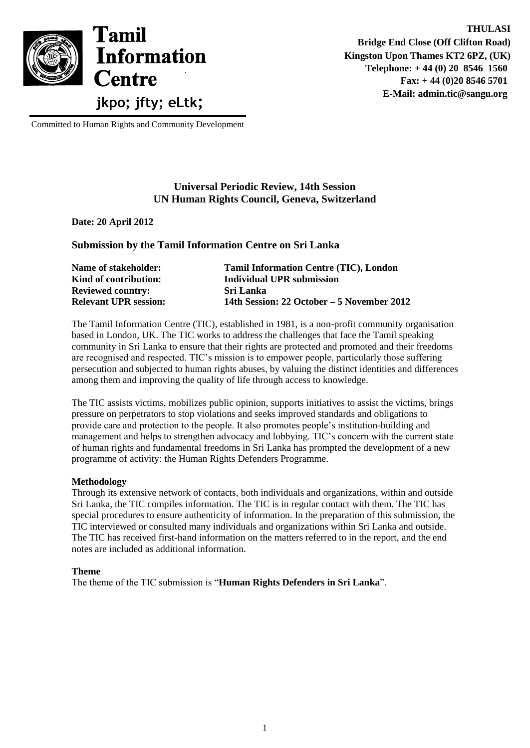

Committed to Human Rights and Community Development

## **Universal Periodic Review, 14th Session UN Human Rights Council, Geneva, Switzerland**

**Date: 20 April 2012**

**Submission by the Tamil Information Centre on Sri Lanka**

| Name of stakeholder:         | <b>Tamil Information Centre (TIC), London</b> |
|------------------------------|-----------------------------------------------|
| Kind of contribution:        | <b>Individual UPR submission</b>              |
| <b>Reviewed country:</b>     | Sri Lanka                                     |
| <b>Relevant UPR session:</b> | 14th Session: 22 October – 5 November 2012    |

The Tamil Information Centre (TIC), established in 1981, is a non-profit community organisation based in London, UK. The TIC works to address the challenges that face the Tamil speaking community in Sri Lanka to ensure that their rights are protected and promoted and their freedoms are recognised and respected. TIC"s mission is to empower people, particularly those suffering persecution and subjected to human rights abuses, by valuing the distinct identities and differences among them and improving the quality of life through access to knowledge.

The TIC assists victims, mobilizes public opinion, supports initiatives to assist the victims, brings pressure on perpetrators to stop violations and seeks improved standards and obligations to provide care and protection to the people. It also promotes people"s institution-building and management and helps to strengthen advocacy and lobbying. TIC"s concern with the current state of human rights and fundamental freedoms in Sri Lanka has prompted the development of a new programme of activity: the Human Rights Defenders Programme.

## **Methodology**

Through its extensive network of contacts, both individuals and organizations, within and outside Sri Lanka, the TIC compiles information. The TIC is in regular contact with them. The TIC has special procedures to ensure authenticity of information. In the preparation of this submission, the TIC interviewed or consulted many individuals and organizations within Sri Lanka and outside. The TIC has received first-hand information on the matters referred to in the report, and the end notes are included as additional information.

#### **Theme**

The theme of the TIC submission is "**Human Rights Defenders in Sri Lanka**".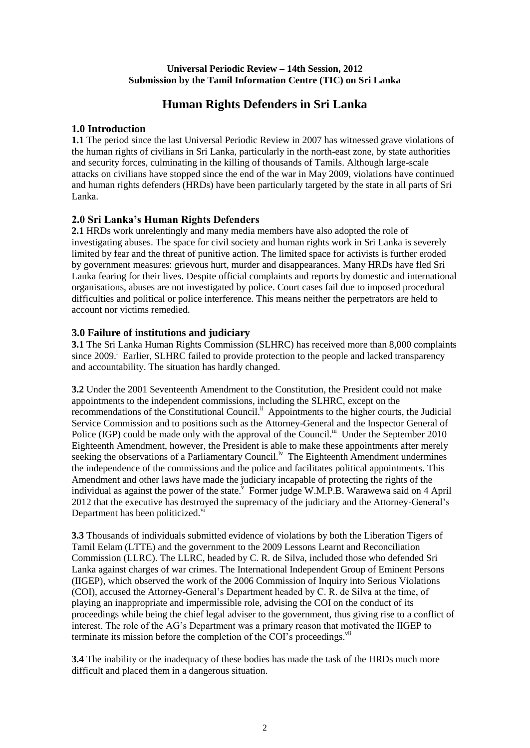### **Universal Periodic Review – 14th Session, 2012 Submission by the Tamil Information Centre (TIC) on Sri Lanka**

# **Human Rights Defenders in Sri Lanka**

## **1.0 Introduction**

**1.1** The period since the last Universal Periodic Review in 2007 has witnessed grave violations of the human rights of civilians in Sri Lanka, particularly in the north-east zone, by state authorities and security forces, culminating in the killing of thousands of Tamils. Although large-scale attacks on civilians have stopped since the end of the war in May 2009, violations have continued and human rights defenders (HRDs) have been particularly targeted by the state in all parts of Sri Lanka.

## **2.0 Sri Lanka's Human Rights Defenders**

**2.1** HRDs work unrelentingly and many media members have also adopted the role of investigating abuses. The space for civil society and human rights work in Sri Lanka is severely limited by fear and the threat of punitive action. The limited space for activists is further eroded by government measures: grievous hurt, murder and disappearances. Many HRDs have fled Sri Lanka fearing for their lives. Despite official complaints and reports by domestic and international organisations, abuses are not investigated by police. Court cases fail due to imposed procedural difficulties and political or police interference. This means neither the perpetrators are held to account nor victims remedied.

## **3.0 Failure of institutions and judiciary**

**3.1** The Sri Lanka Human Rights Commission (SLHRC) has received more than 8,000 complaints since 2009.<sup>i</sup> Earlier, SLHRC failed to provide protection to the people and lacked transparency and accountability. The situation has hardly changed.

**3.2** Under the 2001 Seventeenth Amendment to the Constitution, the President could not make appointments to the independent commissions, including the SLHRC, except on the recommendations of the Constitutional Council.<sup>ii</sup> Appointments to the higher courts, the Judicial Service Commission and to positions such as the Attorney-General and the Inspector General of Police (IGP) could be made only with the approval of the Council.<sup>iii</sup> Under the September 2010 Eighteenth Amendment, however, the President is able to make these appointments after merely seeking the observations of a Parliamentary Council.<sup>iv</sup> The Eighteenth Amendment undermines the independence of the commissions and the police and facilitates political appointments. This Amendment and other laws have made the judiciary incapable of protecting the rights of the individual as against the power of the state. Former judge W.M.P.B. Warawewa said on 4 April 2012 that the executive has destroyed the supremacy of the judiciary and the Attorney-General"s Department has been politicized.<sup>vi</sup>

**3.3** Thousands of individuals submitted evidence of violations by both the Liberation Tigers of Tamil Eelam (LTTE) and the government to the 2009 Lessons Learnt and Reconciliation Commission (LLRC). The LLRC, headed by C. R. de Silva, included those who defended Sri Lanka against charges of war crimes. The International Independent Group of Eminent Persons (IIGEP), which observed the work of the 2006 Commission of Inquiry into Serious Violations (COI), accused the Attorney-General"s Department headed by C. R. de Silva at the time, of playing an inappropriate and impermissible role, advising the COI on the conduct of its proceedings while being the chief legal adviser to the government, thus giving rise to a conflict of interest. The role of the AG"s Department was a primary reason that motivated the IIGEP to terminate its mission before the completion of the COI's proceedings.<sup>vii</sup>

**3.4** The inability or the inadequacy of these bodies has made the task of the HRDs much more difficult and placed them in a dangerous situation.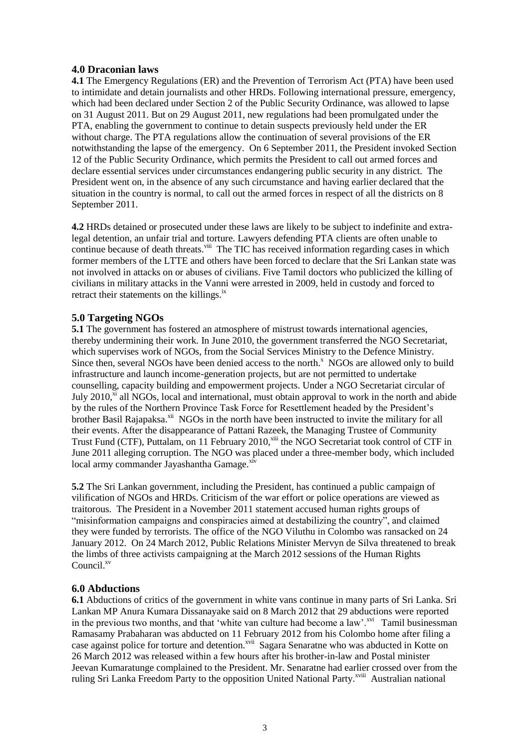## **4.0 Draconian laws**

**4.1** The Emergency Regulations (ER) and the Prevention of Terrorism Act (PTA) have been used to intimidate and detain journalists and other HRDs. Following international pressure, emergency, which had been declared under Section 2 of the Public Security Ordinance, was allowed to lapse on 31 August 2011. But on 29 August 2011, new regulations had been promulgated under the PTA, enabling the government to continue to detain suspects previously held under the ER without charge. The PTA regulations allow the continuation of several provisions of the ER notwithstanding the lapse of the emergency. On 6 September 2011, the President invoked Section 12 of the Public Security Ordinance, which permits the President to call out armed forces and declare essential services under circumstances endangering public security in any district. The President went on, in the absence of any such circumstance and having earlier declared that the situation in the country is normal, to call out the armed forces in respect of all the districts on 8 September 2011.

**4.2** HRDs detained or prosecuted under these laws are likely to be subject to indefinite and extralegal detention, an unfair trial and torture. Lawyers defending PTA clients are often unable to continue because of death threats.<sup>viii</sup> The TIC has received information regarding cases in which former members of the LTTE and others have been forced to declare that the Sri Lankan state was not involved in attacks on or abuses of civilians. Five Tamil doctors who publicized the killing of civilians in military attacks in the Vanni were arrested in 2009, held in custody and forced to retract their statements on the killings. $^{ix}$ 

## **5.0 Targeting NGOs**

**5.1** The government has fostered an atmosphere of mistrust towards international agencies, thereby undermining their work. In June 2010, the government transferred the NGO Secretariat, which supervises work of NGOs, from the Social Services Ministry to the Defence Ministry. Since then, several NGOs have been denied access to the north.<sup>x</sup> NGOs are allowed only to build infrastructure and launch income-generation projects, but are not permitted to undertake counselling, capacity building and empowerment projects. Under a NGO Secretariat circular of July  $2010<sup>xi</sup>$  all NGOs, local and international, must obtain approval to work in the north and abide by the rules of the Northern Province Task Force for Resettlement headed by the President"s brother Basil Rajapaksa.<sup>xii</sup> NGOs in the north have been instructed to invite the military for all their events. After the disappearance of Pattani Razeek, the Managing Trustee of Community Trust Fund (CTF), Puttalam, on 11 February 2010,<sup>xiii</sup> the NGO Secretariat took control of CTF in June 2011 alleging corruption. The NGO was placed under a three-member body, which included  $local army commander Jayashantha Game<sup>xiv</sup>$ 

**5.2** The Sri Lankan government, including the President, has continued a public campaign of vilification of NGOs and HRDs. Criticism of the war effort or police operations are viewed as traitorous. The President in a November 2011 statement accused human rights groups of "misinformation campaigns and conspiracies aimed at destabilizing the country", and claimed they were funded by terrorists. The office of the NGO Viluthu in Colombo was ransacked on 24 January 2012. On 24 March 2012, Public Relations Minister Mervyn de Silva threatened to break the limbs of three activists campaigning at the March 2012 sessions of the Human Rights Council.<sup>xv</sup>

## **6.0 Abductions**

**6.1** Abductions of critics of the government in white vans continue in many parts of Sri Lanka. Sri Lankan MP Anura Kumara Dissanayake said on 8 March 2012 that 29 abductions were reported in the previous two months, and that 'white van culture had become a law'.<sup>xvi</sup> Tamil businessman Ramasamy Prabaharan was abducted on 11 February 2012 from his Colombo home after filing a case against police for torture and detention.<sup>xvii</sup> Sagara Senaratne who was abducted in Kotte on 26 March 2012 was released within a few hours after his brother-in-law and Postal minister Jeevan Kumaratunge complained to the President. Mr. Senaratne had earlier crossed over from the ruling Sri Lanka Freedom Party to the opposition United National Party.<sup>xviii</sup> Australian national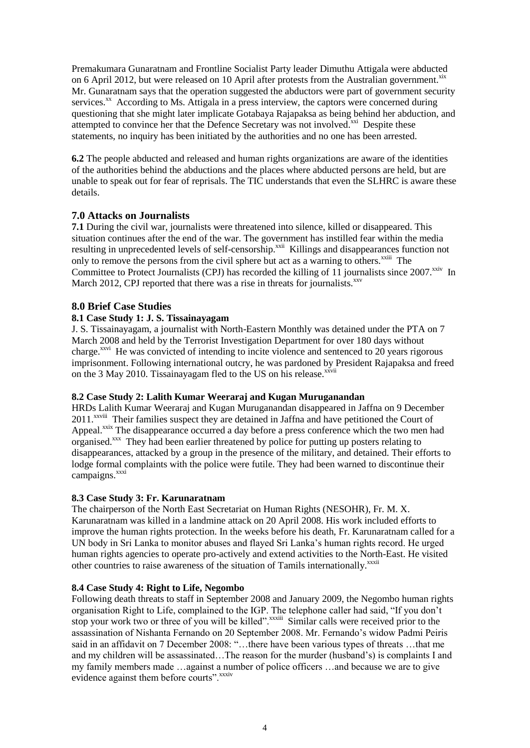Premakumara Gunaratnam and Frontline Socialist Party leader Dimuthu Attigala were abducted on 6 April 2012, but were released on 10 April after protests from the Australian government.<sup>xix</sup> Mr. Gunaratnam says that the operation suggested the abductors were part of government security services.<sup>xx</sup> According to Ms. Attigala in a press interview, the captors were concerned during questioning that she might later implicate Gotabaya Rajapaksa as being behind her abduction, and attempted to convince her that the Defence Secretary was not involved.<sup>xxi</sup> Despite these statements, no inquiry has been initiated by the authorities and no one has been arrested.

**6.2** The people abducted and released and human rights organizations are aware of the identities of the authorities behind the abductions and the places where abducted persons are held, but are unable to speak out for fear of reprisals. The TIC understands that even the SLHRC is aware these details.

## **7.0 Attacks on Journalists**

**7.1** During the civil war, journalists were threatened into silence, killed or disappeared. This situation continues after the end of the war. The government has instilled fear within the media resulting in unprecedented levels of self-censorship.<sup>xxii</sup> Killings and disappearances function not only to remove the persons from the civil sphere but act as a warning to others.<sup>xxiii</sup> The Committee to Protect Journalists (CPJ) has recorded the killing of 11 journalists since 2007.<sup>xxiv</sup> In March 2012, CPJ reported that there was a rise in threats for journalists. $^{xxv}$ 

### **8.0 Brief Case Studies**

#### **8.1 Case Study 1: J. S. Tissainayagam**

J. S. Tissainayagam, a journalist with North-Eastern Monthly was detained under the PTA on 7 March 2008 and held by the Terrorist Investigation Department for over 180 days without charge.<sup>xxvi</sup> He was convicted of intending to incite violence and sentenced to 20 years rigorous imprisonment. Following international outcry, he was pardoned by President Rajapaksa and freed on the 3 May 2010. Tissainayagam fled to the US on his release.<sup>xxvii</sup>

#### **8.2 Case Study 2: Lalith Kumar Weeraraj and Kugan Muruganandan**

HRDs Lalith Kumar Weeraraj and Kugan Muruganandan disappeared in Jaffna on 9 December 2011.<sup>xxviii</sup> Their families suspect they are detained in Jaffna and have petitioned the Court of Appeal.<sup>xxix</sup> The disappearance occurred a day before a press conference which the two men had organised.<sup>xxx</sup> They had been earlier threatened by police for putting up posters relating to disappearances, attacked by a group in the presence of the military, and detained. Their efforts to lodge formal complaints with the police were futile. They had been warned to discontinue their campaigns.<sup>xxxi</sup>

#### **8.3 Case Study 3: Fr. Karunaratnam**

The chairperson of the North East Secretariat on Human Rights (NESOHR), Fr. M. X. Karunaratnam was killed in a landmine attack on 20 April 2008. His work included efforts to improve the human rights protection. In the weeks before his death, Fr. Karunaratnam called for a UN body in Sri Lanka to monitor abuses and flayed Sri Lanka"s human rights record. He urged human rights agencies to operate pro-actively and extend activities to the North-East. He visited other countries to raise awareness of the situation of Tamils internationally.<sup>xxxii</sup>

#### **8.4 Case Study 4: Right to Life, Negombo**

Following death threats to staff in September 2008 and January 2009, the Negombo human rights organisation Right to Life, complained to the IGP. The telephone caller had said, "If you don"t stop your work two or three of you will be killed".<sup>xxxiii</sup> Similar calls were received prior to the assassination of Nishanta Fernando on 20 September 2008. Mr. Fernando"s widow Padmi Peiris said in an affidavit on 7 December 2008: "...there have been various types of threats ...that me and my children will be assassinated…The reason for the murder (husband"s) is complaints I and my family members made …against a number of police officers …and because we are to give evidence against them before courts".<sup>xxxiv</sup>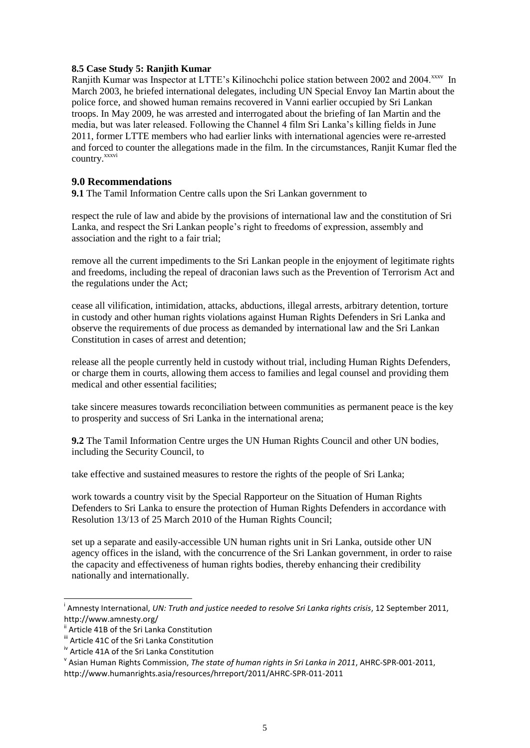#### **8.5 Case Study 5: Ranjith Kumar**

Ranjith Kumar was Inspector at LTTE's Kilinochchi police station between 2002 and 2004.<sup>xxxv</sup> In March 2003, he briefed international delegates, including UN Special Envoy Ian Martin about the police force, and showed human remains recovered in Vanni earlier occupied by Sri Lankan troops. In May 2009, he was arrested and interrogated about the briefing of Ian Martin and the media, but was later released. Following the Channel 4 film Sri Lanka"s killing fields in June 2011, former LTTE members who had earlier links with international agencies were re-arrested and forced to counter the allegations made in the film. In the circumstances, Ranjit Kumar fled the country. xxxvi

### **9.0 Recommendations**

**9.1** The Tamil Information Centre calls upon the Sri Lankan government to

respect the rule of law and abide by the provisions of international law and the constitution of Sri Lanka, and respect the Sri Lankan people"s right to freedoms of expression, assembly and association and the right to a fair trial;

remove all the current impediments to the Sri Lankan people in the enjoyment of legitimate rights and freedoms, including the repeal of draconian laws such as the Prevention of Terrorism Act and the regulations under the Act;

cease all vilification, intimidation, attacks, abductions, illegal arrests, arbitrary detention, torture in custody and other human rights violations against Human Rights Defenders in Sri Lanka and observe the requirements of due process as demanded by international law and the Sri Lankan Constitution in cases of arrest and detention;

release all the people currently held in custody without trial, including Human Rights Defenders, or charge them in courts, allowing them access to families and legal counsel and providing them medical and other essential facilities;

take sincere measures towards reconciliation between communities as permanent peace is the key to prosperity and success of Sri Lanka in the international arena;

**9.2** The Tamil Information Centre urges the UN Human Rights Council and other UN bodies, including the Security Council, to

take effective and sustained measures to restore the rights of the people of Sri Lanka;

work towards a country visit by the Special Rapporteur on the Situation of Human Rights Defenders to Sri Lanka to ensure the protection of Human Rights Defenders in accordance with Resolution 13/13 of 25 March 2010 of the Human Rights Council;

set up a separate and easily-accessible UN human rights unit in Sri Lanka, outside other UN agency offices in the island, with the concurrence of the Sri Lankan government, in order to raise the capacity and effectiveness of human rights bodies, thereby enhancing their credibility nationally and internationally.

1

i Amnesty International, *UN: Truth and justice needed to resolve Sri Lanka rights crisis*, 12 September 2011, http://www.amnesty.org/

<sup>&</sup>lt;sup>i</sup> Article 41B of the Sri Lanka Constitution

iii Article 41C of the Sri Lanka Constitution

iv Article 41A of the Sri Lanka Constitution

v Asian Human Rights Commission, *The state of human rights in Sri Lanka in 2011*, AHRC-SPR-001-2011, http://www.humanrights.asia/resources/hrreport/2011/AHRC-SPR-011-2011